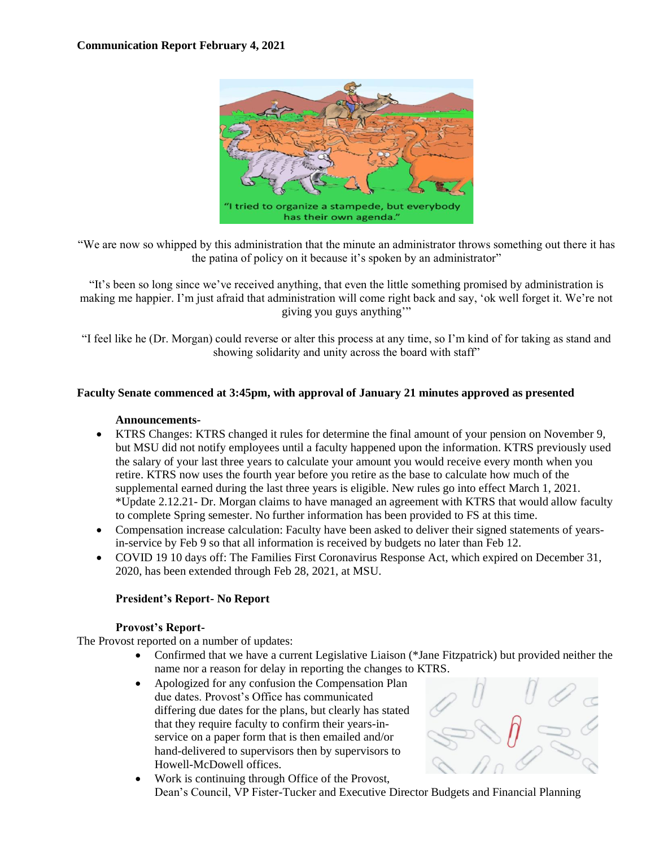

"We are now so whipped by this administration that the minute an administrator throws something out there it has the patina of policy on it because it's spoken by an administrator"

"It's been so long since we've received anything, that even the little something promised by administration is making me happier. I'm just afraid that administration will come right back and say, 'ok well forget it. We're not giving you guys anything'"

"I feel like he (Dr. Morgan) could reverse or alter this process at any time, so I'm kind of for taking as stand and showing solidarity and unity across the board with staff"

### **Faculty Senate commenced at 3:45pm, with approval of January 21 minutes approved as presented**

### **Announcements-**

- KTRS Changes: KTRS changed it rules for determine the final amount of your pension on November 9, but MSU did not notify employees until a faculty happened upon the information. KTRS previously used the salary of your last three years to calculate your amount you would receive every month when you retire. KTRS now uses the fourth year before you retire as the base to calculate how much of the supplemental earned during the last three years is eligible. New rules go into effect March 1, 2021. \*Update 2.12.21- Dr. Morgan claims to have managed an agreement with KTRS that would allow faculty to complete Spring semester. No further information has been provided to FS at this time.
- Compensation increase calculation: Faculty have been asked to deliver their signed statements of yearsin-service by Feb 9 so that all information is received by budgets no later than Feb 12.
- COVID 19 10 days off: The Families First Coronavirus Response Act, which expired on December 31, 2020, has been extended through Feb 28, 2021, at MSU.

# **President's Report- No Report**

### **Provost's Report-**

The Provost reported on a number of updates:

- Confirmed that we have a current Legislative Liaison (\*Jane Fitzpatrick) but provided neither the name nor a reason for delay in reporting the changes to KTRS.
- Apologized for any confusion the Compensation Plan due dates. Provost's Office has communicated differing due dates for the plans, but clearly has stated that they require faculty to confirm their years-inservice on a paper form that is then emailed and/or hand-delivered to supervisors then by supervisors to Howell-McDowell offices.

• Work is continuing through Office of the Provost, Dean's Council, VP Fister-Tucker and Executive Director Budgets and Financial Planning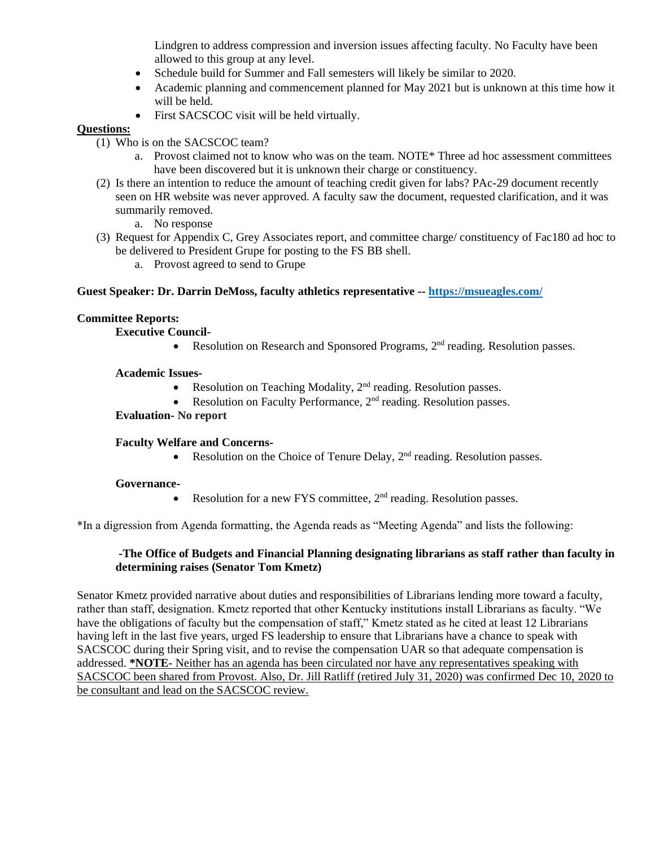Lindgren to address compression and inversion issues affecting faculty. No Faculty have been allowed to this group at any level.

- Schedule build for Summer and Fall semesters will likely be similar to 2020.
- Academic planning and commencement planned for May 2021 but is unknown at this time how it will be held.
- First SACSCOC visit will be held virtually.

## **Questions:**

- (1) Who is on the SACSCOC team?
	- a. Provost claimed not to know who was on the team. NOTE\* Three ad hoc assessment committees have been discovered but it is unknown their charge or constituency.
- (2) Is there an intention to reduce the amount of teaching credit given for labs? PAc-29 document recently seen on HR website was never approved. A faculty saw the document, requested clarification, and it was summarily removed.
	- a. No response
- (3) Request for Appendix C, Grey Associates report, and committee charge/ constituency of Fac180 ad hoc to be delivered to President Grupe for posting to the FS BB shell.
	- a. Provost agreed to send to Grupe

### **Guest Speaker: Dr. Darrin DeMoss, faculty athletics representative -- <https://msueagles.com/>**

## **Committee Reports:**

**Executive Council-**

• Resolution on Research and Sponsored Programs,  $2<sup>nd</sup>$  reading. Resolution passes.

**Academic Issues-**

- Resolution on Teaching Modality,  $2<sup>nd</sup>$  reading. Resolution passes.
- Resolution on Faculty Performance,  $2<sup>nd</sup>$  reading. Resolution passes.

### **Evaluation- No report**

### **Faculty Welfare and Concerns-**

• Resolution on the Choice of Tenure Delay, 2<sup>nd</sup> reading. Resolution passes.

### **Governance-**

• Resolution for a new FYS committee,  $2<sup>nd</sup>$  reading. Resolution passes.

\*In a digression from Agenda formatting, the Agenda reads as "Meeting Agenda" and lists the following:

## **-The Office of Budgets and Financial Planning designating librarians as staff rather than faculty in determining raises (Senator Tom Kmetz)**

Senator Kmetz provided narrative about duties and responsibilities of Librarians lending more toward a faculty, rather than staff, designation. Kmetz reported that other Kentucky institutions install Librarians as faculty. "We have the obligations of faculty but the compensation of staff," Kmetz stated as he cited at least 12 Librarians having left in the last five years, urged FS leadership to ensure that Librarians have a chance to speak with SACSCOC during their Spring visit, and to revise the compensation UAR so that adequate compensation is addressed. **\*NOTE**- Neither has an agenda has been circulated nor have any representatives speaking with SACSCOC been shared from Provost. Also, Dr. Jill Ratliff (retired July 31, 2020) was confirmed Dec 10, 2020 to be consultant and lead on the SACSCOC review.